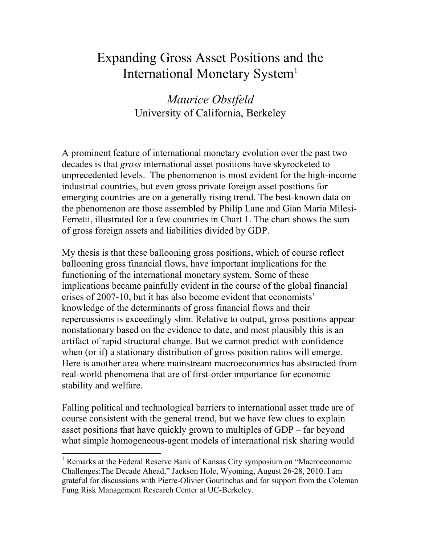# Expanding Gross Asset Positions and the International Monetary System<sup>1</sup>

# *Maurice Obstfeld*  University of California, Berkeley

A prominent feature of international monetary evolution over the past two decades is that *gross* international asset positions have skyrocketed to unprecedented levels. The phenomenon is most evident for the high-income industrial countries, but even gross private foreign asset positions for emerging countries are on a generally rising trend. The best-known data on the phenomenon are those assembled by Philip Lane and Gian Maria Milesi-Ferretti, illustrated for a few countries in Chart 1. The chart shows the sum of gross foreign assets and liabilities divided by GDP.

My thesis is that these ballooning gross positions, which of course reflect ballooning gross financial flows, have important implications for the functioning of the international monetary system. Some of these implications became painfully evident in the course of the global financial crises of 2007-10, but it has also become evident that economists' knowledge of the determinants of gross financial flows and their repercussions is exceedingly slim. Relative to output, gross positions appear nonstationary based on the evidence to date, and most plausibly this is an artifact of rapid structural change. But we cannot predict with confidence when (or if) a stationary distribution of gross position ratios will emerge. Here is another area where mainstream macroeconomics has abstracted from real-world phenomena that are of first-order importance for economic stability and welfare.

Falling political and technological barriers to international asset trade are of course consistent with the general trend, but we have few clues to explain asset positions that have quickly grown to multiples of GDP – far beyond what simple homogeneous-agent models of international risk sharing would

 $\overline{a}$ 

<sup>&</sup>lt;sup>1</sup> Remarks at the Federal Reserve Bank of Kansas City symposium on "Macroeconomic Challenges:The Decade Ahead," Jackson Hole, Wyoming, August 26-28, 2010. I am grateful for discussions with Pierre-Olivier Gourinchas and for support from the Coleman Fung Risk Management Research Center at UC-Berkeley.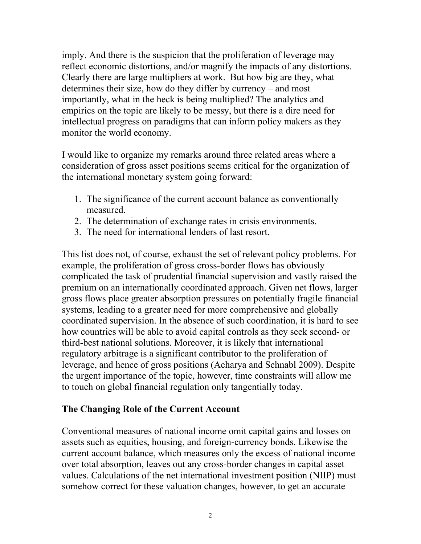imply. And there is the suspicion that the proliferation of leverage may reflect economic distortions, and/or magnify the impacts of any distortions. Clearly there are large multipliers at work. But how big are they, what determines their size, how do they differ by currency – and most importantly, what in the heck is being multiplied? The analytics and empirics on the topic are likely to be messy, but there is a dire need for intellectual progress on paradigms that can inform policy makers as they monitor the world economy.

I would like to organize my remarks around three related areas where a consideration of gross asset positions seems critical for the organization of the international monetary system going forward:

- 1. The significance of the current account balance as conventionally measured.
- 2. The determination of exchange rates in crisis environments.
- 3. The need for international lenders of last resort.

This list does not, of course, exhaust the set of relevant policy problems. For example, the proliferation of gross cross-border flows has obviously complicated the task of prudential financial supervision and vastly raised the premium on an internationally coordinated approach. Given net flows, larger gross flows place greater absorption pressures on potentially fragile financial systems, leading to a greater need for more comprehensive and globally coordinated supervision. In the absence of such coordination, it is hard to see how countries will be able to avoid capital controls as they seek second- or third-best national solutions. Moreover, it is likely that international regulatory arbitrage is a significant contributor to the proliferation of leverage, and hence of gross positions (Acharya and Schnabl 2009). Despite the urgent importance of the topic, however, time constraints will allow me to touch on global financial regulation only tangentially today.

#### **The Changing Role of the Current Account**

Conventional measures of national income omit capital gains and losses on assets such as equities, housing, and foreign-currency bonds. Likewise the current account balance, which measures only the excess of national income over total absorption, leaves out any cross-border changes in capital asset values. Calculations of the net international investment position (NIIP) must somehow correct for these valuation changes, however, to get an accurate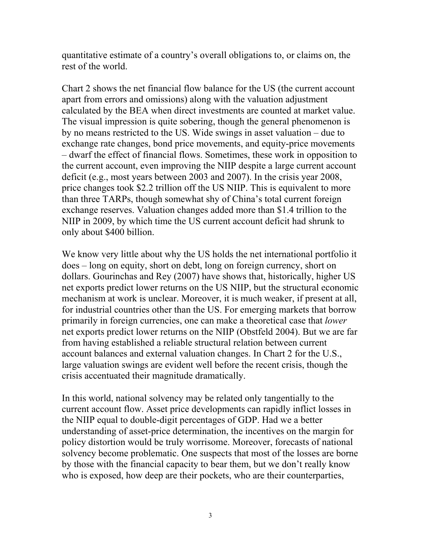quantitative estimate of a country's overall obligations to, or claims on, the rest of the world.

Chart 2 shows the net financial flow balance for the US (the current account apart from errors and omissions) along with the valuation adjustment calculated by the BEA when direct investments are counted at market value. The visual impression is quite sobering, though the general phenomenon is by no means restricted to the US. Wide swings in asset valuation – due to exchange rate changes, bond price movements, and equity-price movements – dwarf the effect of financial flows. Sometimes, these work in opposition to the current account, even improving the NIIP despite a large current account deficit (e.g., most years between 2003 and 2007). In the crisis year 2008, price changes took \$2.2 trillion off the US NIIP. This is equivalent to more than three TARPs, though somewhat shy of China's total current foreign exchange reserves. Valuation changes added more than \$1.4 trillion to the NIIP in 2009, by which time the US current account deficit had shrunk to only about \$400 billion.

We know very little about why the US holds the net international portfolio it does – long on equity, short on debt, long on foreign currency, short on dollars. Gourinchas and Rey (2007) have shows that, historically, higher US net exports predict lower returns on the US NIIP, but the structural economic mechanism at work is unclear. Moreover, it is much weaker, if present at all, for industrial countries other than the US. For emerging markets that borrow primarily in foreign currencies, one can make a theoretical case that *lower* net exports predict lower returns on the NIIP (Obstfeld 2004). But we are far from having established a reliable structural relation between current account balances and external valuation changes. In Chart 2 for the U.S., large valuation swings are evident well before the recent crisis, though the crisis accentuated their magnitude dramatically.

In this world, national solvency may be related only tangentially to the current account flow. Asset price developments can rapidly inflict losses in the NIIP equal to double-digit percentages of GDP. Had we a better understanding of asset-price determination, the incentives on the margin for policy distortion would be truly worrisome. Moreover, forecasts of national solvency become problematic. One suspects that most of the losses are borne by those with the financial capacity to bear them, but we don't really know who is exposed, how deep are their pockets, who are their counterparties,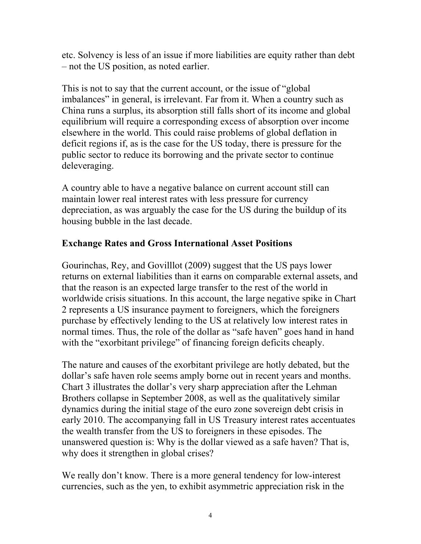etc. Solvency is less of an issue if more liabilities are equity rather than debt – not the US position, as noted earlier.

This is not to say that the current account, or the issue of "global imbalances" in general, is irrelevant. Far from it. When a country such as China runs a surplus, its absorption still falls short of its income and global equilibrium will require a corresponding excess of absorption over income elsewhere in the world. This could raise problems of global deflation in deficit regions if, as is the case for the US today, there is pressure for the public sector to reduce its borrowing and the private sector to continue deleveraging.

A country able to have a negative balance on current account still can maintain lower real interest rates with less pressure for currency depreciation, as was arguably the case for the US during the buildup of its housing bubble in the last decade.

## **Exchange Rates and Gross International Asset Positions**

Gourinchas, Rey, and Govilllot (2009) suggest that the US pays lower returns on external liabilities than it earns on comparable external assets, and that the reason is an expected large transfer to the rest of the world in worldwide crisis situations. In this account, the large negative spike in Chart 2 represents a US insurance payment to foreigners, which the foreigners purchase by effectively lending to the US at relatively low interest rates in normal times. Thus, the role of the dollar as "safe haven" goes hand in hand with the "exorbitant privilege" of financing foreign deficits cheaply.

The nature and causes of the exorbitant privilege are hotly debated, but the dollar's safe haven role seems amply borne out in recent years and months. Chart 3 illustrates the dollar's very sharp appreciation after the Lehman Brothers collapse in September 2008, as well as the qualitatively similar dynamics during the initial stage of the euro zone sovereign debt crisis in early 2010. The accompanying fall in US Treasury interest rates accentuates the wealth transfer from the US to foreigners in these episodes. The unanswered question is: Why is the dollar viewed as a safe haven? That is, why does it strengthen in global crises?

We really don't know. There is a more general tendency for low-interest currencies, such as the yen, to exhibit asymmetric appreciation risk in the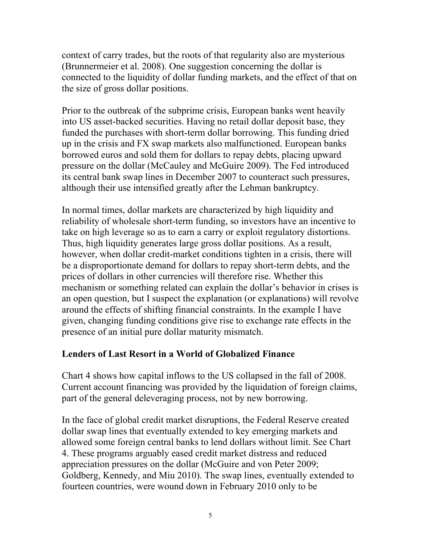context of carry trades, but the roots of that regularity also are mysterious (Brunnermeier et al. 2008). One suggestion concerning the dollar is connected to the liquidity of dollar funding markets, and the effect of that on the size of gross dollar positions.

Prior to the outbreak of the subprime crisis, European banks went heavily into US asset-backed securities. Having no retail dollar deposit base, they funded the purchases with short-term dollar borrowing. This funding dried up in the crisis and FX swap markets also malfunctioned. European banks borrowed euros and sold them for dollars to repay debts, placing upward pressure on the dollar (McCauley and McGuire 2009). The Fed introduced its central bank swap lines in December 2007 to counteract such pressures, although their use intensified greatly after the Lehman bankruptcy.

In normal times, dollar markets are characterized by high liquidity and reliability of wholesale short-term funding, so investors have an incentive to take on high leverage so as to earn a carry or exploit regulatory distortions. Thus, high liquidity generates large gross dollar positions. As a result, however, when dollar credit-market conditions tighten in a crisis, there will be a disproportionate demand for dollars to repay short-term debts, and the prices of dollars in other currencies will therefore rise. Whether this mechanism or something related can explain the dollar's behavior in crises is an open question, but I suspect the explanation (or explanations) will revolve around the effects of shifting financial constraints. In the example I have given, changing funding conditions give rise to exchange rate effects in the presence of an initial pure dollar maturity mismatch.

## **Lenders of Last Resort in a World of Globalized Finance**

Chart 4 shows how capital inflows to the US collapsed in the fall of 2008. Current account financing was provided by the liquidation of foreign claims, part of the general deleveraging process, not by new borrowing.

In the face of global credit market disruptions, the Federal Reserve created dollar swap lines that eventually extended to key emerging markets and allowed some foreign central banks to lend dollars without limit. See Chart 4. These programs arguably eased credit market distress and reduced appreciation pressures on the dollar (McGuire and von Peter 2009; Goldberg, Kennedy, and Miu 2010). The swap lines, eventually extended to fourteen countries, were wound down in February 2010 only to be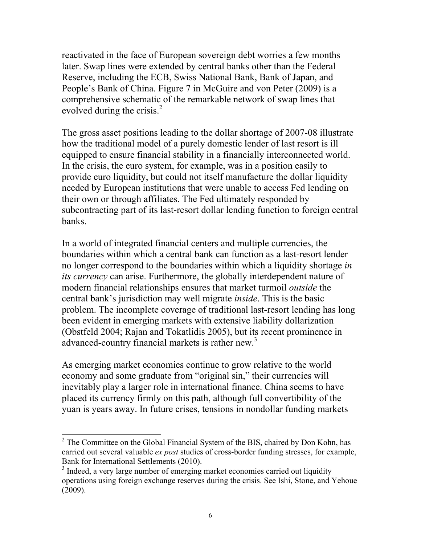reactivated in the face of European sovereign debt worries a few months later. Swap lines were extended by central banks other than the Federal Reserve, including the ECB, Swiss National Bank, Bank of Japan, and People's Bank of China. Figure 7 in McGuire and von Peter (2009) is a comprehensive schematic of the remarkable network of swap lines that evolved during the crisis. $<sup>2</sup>$ </sup>

The gross asset positions leading to the dollar shortage of 2007-08 illustrate how the traditional model of a purely domestic lender of last resort is ill equipped to ensure financial stability in a financially interconnected world. In the crisis, the euro system, for example, was in a position easily to provide euro liquidity, but could not itself manufacture the dollar liquidity needed by European institutions that were unable to access Fed lending on their own or through affiliates. The Fed ultimately responded by subcontracting part of its last-resort dollar lending function to foreign central banks.

In a world of integrated financial centers and multiple currencies, the boundaries within which a central bank can function as a last-resort lender no longer correspond to the boundaries within which a liquidity shortage *in its currency* can arise. Furthermore, the globally interdependent nature of modern financial relationships ensures that market turmoil *outside* the central bank's jurisdiction may well migrate *inside*. This is the basic problem. The incomplete coverage of traditional last-resort lending has long been evident in emerging markets with extensive liability dollarization (Obstfeld 2004; Rajan and Tokatlidis 2005), but its recent prominence in advanced-country financial markets is rather new.<sup>3</sup>

As emerging market economies continue to grow relative to the world economy and some graduate from "original sin," their currencies will inevitably play a larger role in international finance. China seems to have placed its currency firmly on this path, although full convertibility of the yuan is years away. In future crises, tensions in nondollar funding markets

 $\overline{a}$ 

 $2^2$  The Committee on the Global Financial System of the BIS, chaired by Don Kohn, has carried out several valuable *ex post* studies of cross-border funding stresses, for example, Bank for International Settlements (2010).

<sup>&</sup>lt;sup>3</sup> Indeed, a very large number of emerging market economies carried out liquidity operations using foreign exchange reserves during the crisis. See Ishi, Stone, and Yehoue (2009).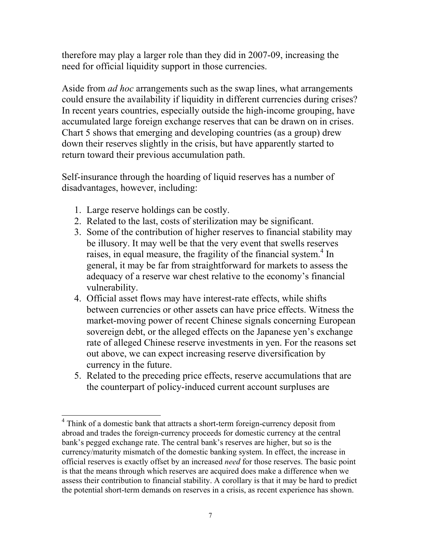therefore may play a larger role than they did in 2007-09, increasing the need for official liquidity support in those currencies.

Aside from *ad hoc* arrangements such as the swap lines, what arrangements could ensure the availability if liquidity in different currencies during crises? In recent years countries, especially outside the high-income grouping, have accumulated large foreign exchange reserves that can be drawn on in crises. Chart 5 shows that emerging and developing countries (as a group) drew down their reserves slightly in the crisis, but have apparently started to return toward their previous accumulation path.

Self-insurance through the hoarding of liquid reserves has a number of disadvantages, however, including:

- 1. Large reserve holdings can be costly.
- 2. Related to the last, costs of sterilization may be significant.
- 3. Some of the contribution of higher reserves to financial stability may be illusory. It may well be that the very event that swells reserves raises, in equal measure, the fragility of the financial system.<sup>4</sup> In general, it may be far from straightforward for markets to assess the adequacy of a reserve war chest relative to the economy's financial vulnerability.
- 4. Official asset flows may have interest-rate effects, while shifts between currencies or other assets can have price effects. Witness the market-moving power of recent Chinese signals concerning European sovereign debt, or the alleged effects on the Japanese yen's exchange rate of alleged Chinese reserve investments in yen. For the reasons set out above, we can expect increasing reserve diversification by currency in the future.
- 5. Related to the preceding price effects, reserve accumulations that are the counterpart of policy-induced current account surpluses are

 4 Think of a domestic bank that attracts a short-term foreign-currency deposit from abroad and trades the foreign-currency proceeds for domestic currency at the central bank's pegged exchange rate. The central bank's reserves are higher, but so is the currency/maturity mismatch of the domestic banking system. In effect, the increase in official reserves is exactly offset by an increased *need* for those reserves. The basic point is that the means through which reserves are acquired does make a difference when we assess their contribution to financial stability. A corollary is that it may be hard to predict the potential short-term demands on reserves in a crisis, as recent experience has shown.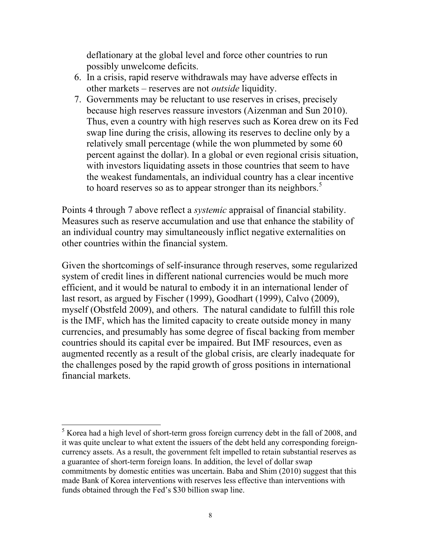deflationary at the global level and force other countries to run possibly unwelcome deficits.

- 6. In a crisis, rapid reserve withdrawals may have adverse effects in other markets – reserves are not *outside* liquidity.
- 7. Governments may be reluctant to use reserves in crises, precisely because high reserves reassure investors (Aizenman and Sun 2010). Thus, even a country with high reserves such as Korea drew on its Fed swap line during the crisis, allowing its reserves to decline only by a relatively small percentage (while the won plummeted by some 60 percent against the dollar). In a global or even regional crisis situation, with investors liquidating assets in those countries that seem to have the weakest fundamentals, an individual country has a clear incentive to hoard reserves so as to appear stronger than its neighbors.<sup>5</sup>

Points 4 through 7 above reflect a *systemic* appraisal of financial stability. Measures such as reserve accumulation and use that enhance the stability of an individual country may simultaneously inflict negative externalities on other countries within the financial system.

Given the shortcomings of self-insurance through reserves, some regularized system of credit lines in different national currencies would be much more efficient, and it would be natural to embody it in an international lender of last resort, as argued by Fischer (1999), Goodhart (1999), Calvo (2009), myself (Obstfeld 2009), and others. The natural candidate to fulfill this role is the IMF, which has the limited capacity to create outside money in many currencies, and presumably has some degree of fiscal backing from member countries should its capital ever be impaired. But IMF resources, even as augmented recently as a result of the global crisis, are clearly inadequate for the challenges posed by the rapid growth of gross positions in international financial markets.

 $\overline{a}$ 

 $<sup>5</sup>$  Korea had a high level of short-term gross foreign currency debt in the fall of 2008, and</sup> it was quite unclear to what extent the issuers of the debt held any corresponding foreigncurrency assets. As a result, the government felt impelled to retain substantial reserves as a guarantee of short-term foreign loans. In addition, the level of dollar swap commitments by domestic entities was uncertain. Baba and Shim (2010) suggest that this made Bank of Korea interventions with reserves less effective than interventions with funds obtained through the Fed's \$30 billion swap line.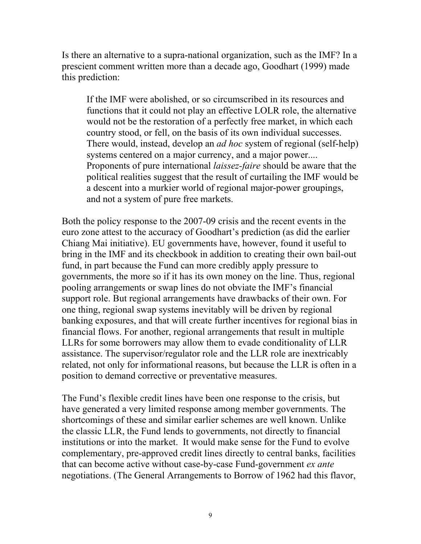Is there an alternative to a supra-national organization, such as the IMF? In a prescient comment written more than a decade ago, Goodhart (1999) made this prediction:

If the IMF were abolished, or so circumscribed in its resources and functions that it could not play an effective LOLR role, the alternative would not be the restoration of a perfectly free market, in which each country stood, or fell, on the basis of its own individual successes. There would, instead, develop an *ad hoc* system of regional (self-help) systems centered on a major currency, and a major power.... Proponents of pure international *laissez-faire* should be aware that the political realities suggest that the result of curtailing the IMF would be a descent into a murkier world of regional major-power groupings, and not a system of pure free markets.

Both the policy response to the 2007-09 crisis and the recent events in the euro zone attest to the accuracy of Goodhart's prediction (as did the earlier Chiang Mai initiative). EU governments have, however, found it useful to bring in the IMF and its checkbook in addition to creating their own bail-out fund, in part because the Fund can more credibly apply pressure to governments, the more so if it has its own money on the line. Thus, regional pooling arrangements or swap lines do not obviate the IMF's financial support role. But regional arrangements have drawbacks of their own. For one thing, regional swap systems inevitably will be driven by regional banking exposures, and that will create further incentives for regional bias in financial flows. For another, regional arrangements that result in multiple LLRs for some borrowers may allow them to evade conditionality of LLR assistance. The supervisor/regulator role and the LLR role are inextricably related, not only for informational reasons, but because the LLR is often in a position to demand corrective or preventative measures.

The Fund's flexible credit lines have been one response to the crisis, but have generated a very limited response among member governments. The shortcomings of these and similar earlier schemes are well known. Unlike the classic LLR, the Fund lends to governments, not directly to financial institutions or into the market. It would make sense for the Fund to evolve complementary, pre-approved credit lines directly to central banks, facilities that can become active without case-by-case Fund-government *ex ante*  negotiations. (The General Arrangements to Borrow of 1962 had this flavor,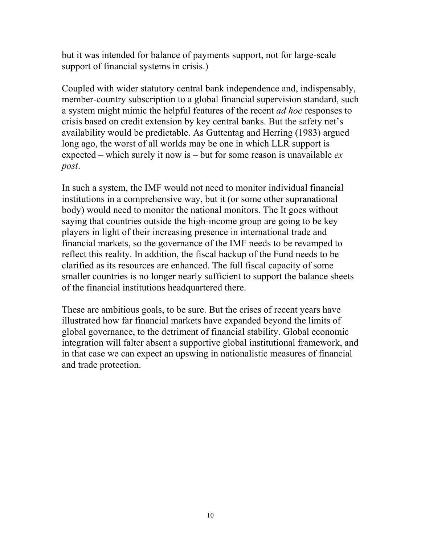but it was intended for balance of payments support, not for large-scale support of financial systems in crisis.)

Coupled with wider statutory central bank independence and, indispensably, member-country subscription to a global financial supervision standard, such a system might mimic the helpful features of the recent *ad hoc* responses to crisis based on credit extension by key central banks. But the safety net's availability would be predictable. As Guttentag and Herring (1983) argued long ago, the worst of all worlds may be one in which LLR support is expected – which surely it now is – but for some reason is unavailable *ex post*.

In such a system, the IMF would not need to monitor individual financial institutions in a comprehensive way, but it (or some other supranational body) would need to monitor the national monitors. The It goes without saying that countries outside the high-income group are going to be key players in light of their increasing presence in international trade and financial markets, so the governance of the IMF needs to be revamped to reflect this reality. In addition, the fiscal backup of the Fund needs to be clarified as its resources are enhanced. The full fiscal capacity of some smaller countries is no longer nearly sufficient to support the balance sheets of the financial institutions headquartered there.

These are ambitious goals, to be sure. But the crises of recent years have illustrated how far financial markets have expanded beyond the limits of global governance, to the detriment of financial stability. Global economic integration will falter absent a supportive global institutional framework, and in that case we can expect an upswing in nationalistic measures of financial and trade protection.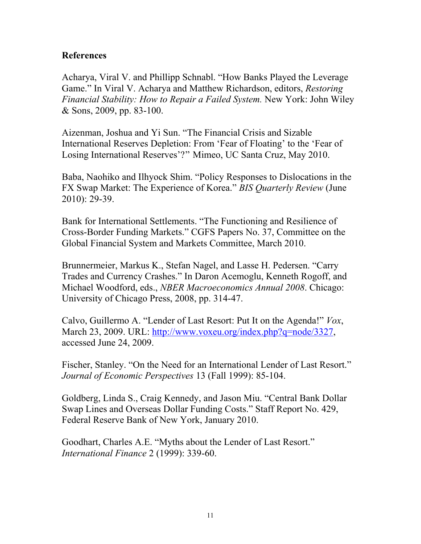#### **References**

Acharya, Viral V. and Phillipp Schnabl. "How Banks Played the Leverage Game." In Viral V. Acharya and Matthew Richardson, editors, *Restoring Financial Stability: How to Repair a Failed System.* New York: John Wiley & Sons, 2009, pp. 83-100.

Aizenman, Joshua and Yi Sun. "The Financial Crisis and Sizable International Reserves Depletion: From 'Fear of Floating' to the 'Fear of Losing International Reserves'?" Mimeo, UC Santa Cruz, May 2010.

Baba, Naohiko and Ilhyock Shim. "Policy Responses to Dislocations in the FX Swap Market: The Experience of Korea." *BIS Quarterly Review* (June 2010): 29-39.

Bank for International Settlements. "The Functioning and Resilience of Cross-Border Funding Markets." CGFS Papers No. 37, Committee on the Global Financial System and Markets Committee, March 2010.

Brunnermeier, Markus K., Stefan Nagel, and Lasse H. Pedersen. "Carry Trades and Currency Crashes." In Daron Acemoglu, Kenneth Rogoff, and Michael Woodford, eds., *NBER Macroeconomics Annual 2008*. Chicago: University of Chicago Press, 2008, pp. 314-47.

Calvo, Guillermo A. "Lender of Last Resort: Put It on the Agenda!" *Vox*, March 23, 2009. URL: http://www.voxeu.org/index.php?q=node/3327, accessed June 24, 2009.

Fischer, Stanley. "On the Need for an International Lender of Last Resort." *Journal of Economic Perspectives* 13 (Fall 1999): 85-104.

Goldberg, Linda S., Craig Kennedy, and Jason Miu. "Central Bank Dollar Swap Lines and Overseas Dollar Funding Costs." Staff Report No. 429, Federal Reserve Bank of New York, January 2010.

Goodhart, Charles A.E. "Myths about the Lender of Last Resort." *International Finance* 2 (1999): 339-60.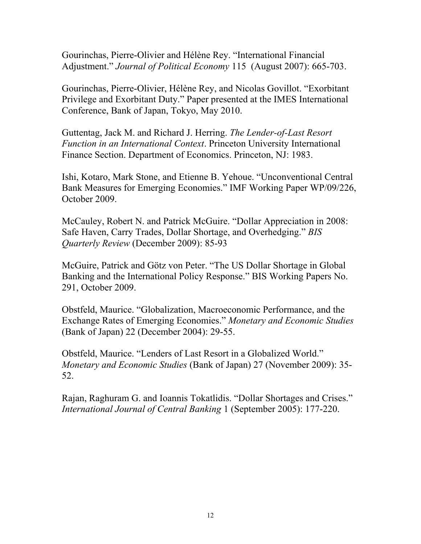Gourinchas, Pierre-Olivier and Hélène Rey. "International Financial Adjustment." *Journal of Political Economy* 115 (August 2007): 665-703.

Gourinchas, Pierre-Olivier, Hélène Rey, and Nicolas Govillot. "Exorbitant Privilege and Exorbitant Duty." Paper presented at the IMES International Conference, Bank of Japan, Tokyo, May 2010.

Guttentag, Jack M. and Richard J. Herring. *The Lender-of-Last Resort Function in an International Context*. Princeton University International Finance Section. Department of Economics. Princeton, NJ: 1983.

Ishi, Kotaro, Mark Stone, and Etienne B. Yehoue. "Unconventional Central Bank Measures for Emerging Economies." IMF Working Paper WP/09/226, October 2009.

McCauley, Robert N. and Patrick McGuire. "Dollar Appreciation in 2008: Safe Haven, Carry Trades, Dollar Shortage, and Overhedging." *BIS Quarterly Review* (December 2009): 85-93

McGuire, Patrick and Götz von Peter. "The US Dollar Shortage in Global Banking and the International Policy Response." BIS Working Papers No. 291, October 2009.

Obstfeld, Maurice. "Globalization, Macroeconomic Performance, and the Exchange Rates of Emerging Economies." *Monetary and Economic Studies*  (Bank of Japan) 22 (December 2004): 29-55.

Obstfeld, Maurice. "Lenders of Last Resort in a Globalized World." *Monetary and Economic Studies* (Bank of Japan) 27 (November 2009): 35- 52.

Rajan, Raghuram G. and Ioannis Tokatlidis. "Dollar Shortages and Crises." *International Journal of Central Banking* 1 (September 2005): 177-220.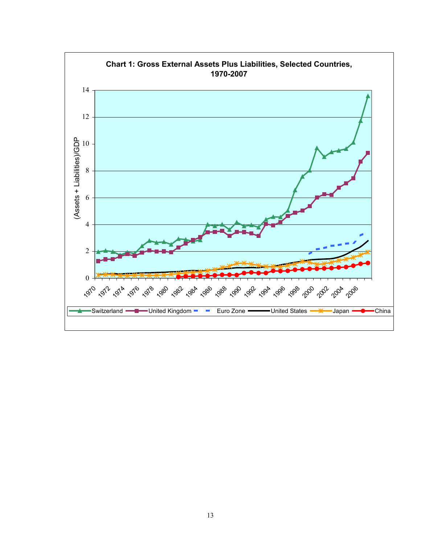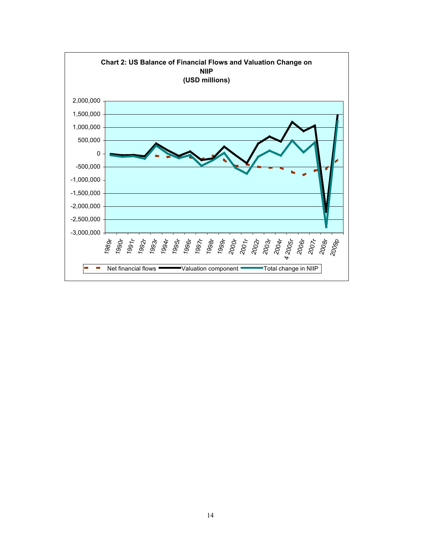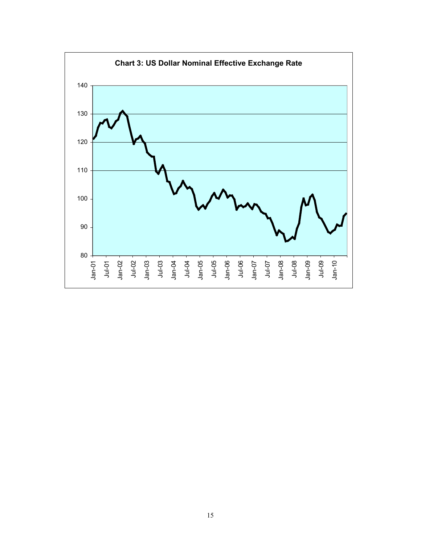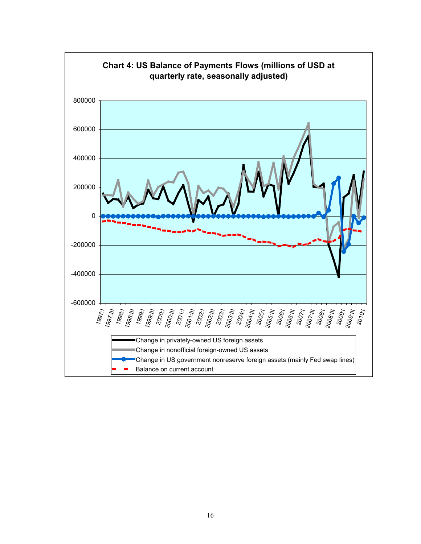